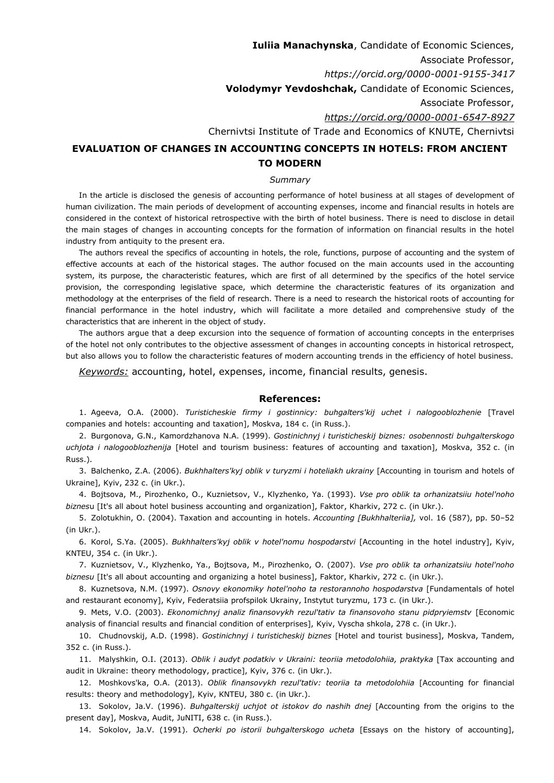**Iuliia Manachynska**, Candidate of Economic Sciences, Associate Professor, *https://orcid.org/0000-0001-9155-3417* **Volodymyr Yevdoshchak,** Candidate of Economic Sciences, Associate Professor, *<https://orcid.org/0000-0001-6547-8927>* Chernivtsi Institute of Trade and Economics of KNUTE, Chernivtsi

## **EVALUATION OF CHANGES IN ACCOUNTING CONCEPTS IN HOTELS: FROM ANCIENT TO MODERN**

## *Summary*

In the article is disclosed the genesis of accounting performance of hotel business at all stages of development of human civilization. The main periods of development of accounting expenses, income and financial results in hotels are considered in the context of historical retrospective with the birth of hotel business. There is need to disclose in detail the main stages of changes in accounting concepts for the formation of information on financial results in the hotel industry from antiquity to the present era.

The authors reveal the specifics of accounting in hotels, the role, functions, purpose of accounting and the system of effective accounts at each of the historical stages. The author focused on the main accounts used in the accounting system, its purpose, the characteristic features, which are first of all determined by the specifics of the hotel service provision, the corresponding legislative space, which determine the characteristic features of its organization and methodology at the enterprises of the field of research. There is a need to research the historical roots of accounting for financial performance in the hotel industry, which will facilitate a more detailed and comprehensive study of the characteristics that are inherent in the object of study.

The authors argue that a deep excursion into the sequence of formation of accounting concepts in the enterprises of the hotel not only contributes to the objective assessment of changes in accounting concepts in historical retrospect, but also allows you to follow the characteristic features of modern accounting trends in the efficiency of hotel business.

*Keywords:* accounting, hotel, expenses, income, financial results, genesis.

## **References:**

1. Ageeva, O.A. (2000). *Turisticheskie firmy i gostinnicy: buhgalters'kij uchet i nalogooblozhenie* [Travel companies and hotels: accounting and taxation], Moskva, 184 с. (in Russ.).

2. Burgonova, G.N., Kamordzhanova N.A. (1999). *Gostinichnyj i turisticheskij biznes: osobennosti buhgalterskogo uchjota i nalogooblozhenija* [Hotel and tourism business: features of accounting and taxation], Moskva, 352 с. (in Russ.).

3. Balchenko, Z.A. (2006). *Bukhhalters'kyj oblik v turyzmi i hoteliakh ukrainy* [Accounting in tourism and hotels of Ukraine], Kyiv, 232 с. (in Ukr.).

4. Bojtsova, M., Pirozhenko, O., Kuznietsov, V., Klyzhenko, Ya. (1993). *Vse pro oblik ta orhanizatsiiu hotel'noho biznes*u [It's all about hotel business accounting and organization], Faktor, Kharkiv, 272 с. (in Ukr.).

5. Zolotukhin, O. (2004). Taxation and accounting in hotels. *Accounting [Bukhhalteriia],* vol. 16 (587), pp. 50–52 (in Ukr.).

6. Korol, S.Ya. (2005). *Bukhhalters'kyj oblik v hotel'nomu hospodarstvi* [Accounting in the hotel industry], Kyiv, KNTEU, 354 с. (in Ukr.).

7. Kuznietsov, V., Klyzhenko, Ya., Bojtsova, M., Pirozhenko, O. (2007). *Vse pro oblik ta orhanizatsiiu hotel'noho biznesu* [It's all about accounting and organizing a hotel business], Faktor, Kharkiv, 272 с. (in Ukr.).

8. Kuznetsova, N.M. (1997). *Osnovy ekonomiky hotel'noho ta restorannoho hospodarstva* [Fundamentals of hotel and restaurant economy], Kyiv, Federatsiia profspilok Ukrainy, Instytut turyzmu, 173 с. (in Ukr.).

9. Mets, V.O. (2003). *Ekonomichnyj analiz finansovykh rezul'tativ ta finansovoho stanu pidpryiemstv* [Economic analysis of financial results and financial condition of enterprises], Kyiv, Vyscha shkola, 278 c. (in Ukr.).

10. Chudnovskij, A.D. (1998). *Gostinichnyj i turisticheskij bіznes* [Hotel and tourist business], Moskva, Tandem, 352 с. (in Russ.).

11. Malyshkin, O.I. (2013). *Oblik i audyt podatkiv v Ukraini: teoriia metodolohiia, praktyka* [Tax accounting and audit in Ukraine: theory methodology, practice], Kyiv, 376 с. (in Ukr.).

12. Moshkovs'ka, O.A. (2013). *Oblik finansovykh rezul'tativ: teoriia ta metodolohiia* [Accounting for financial results: theory and methodology], Kyiv, KNTEU, 380 с. (in Ukr.).

13. Sokolov, Ja.V. (1996). *Buhgalterskij uchjot ot istokov do nashih dnej* [Accounting from the origins to the present day], Moskva, Audit, JuNITI, 638 c. (in Russ.).

14. Sokolov, Ja.V. (1991). *Ocherki po istorii buhgalterskogo ucheta* [Essays on the history of accounting],